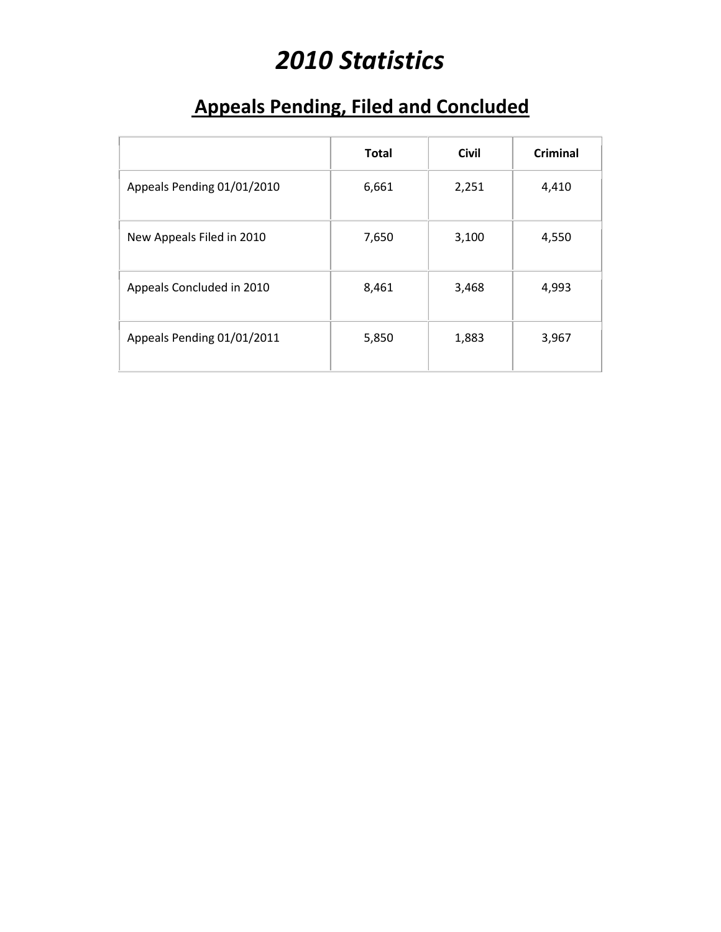# *2010 Statistics*

### **Appeals Pending, Filed and Concluded**

|                            | <b>Total</b> | <b>Civil</b> | <b>Criminal</b> |
|----------------------------|--------------|--------------|-----------------|
| Appeals Pending 01/01/2010 | 6,661        | 2,251        | 4,410           |
| New Appeals Filed in 2010  | 7,650        | 3,100        | 4,550           |
| Appeals Concluded in 2010  | 8,461        | 3,468        | 4,993           |
| Appeals Pending 01/01/2011 | 5,850        | 1,883        | 3,967           |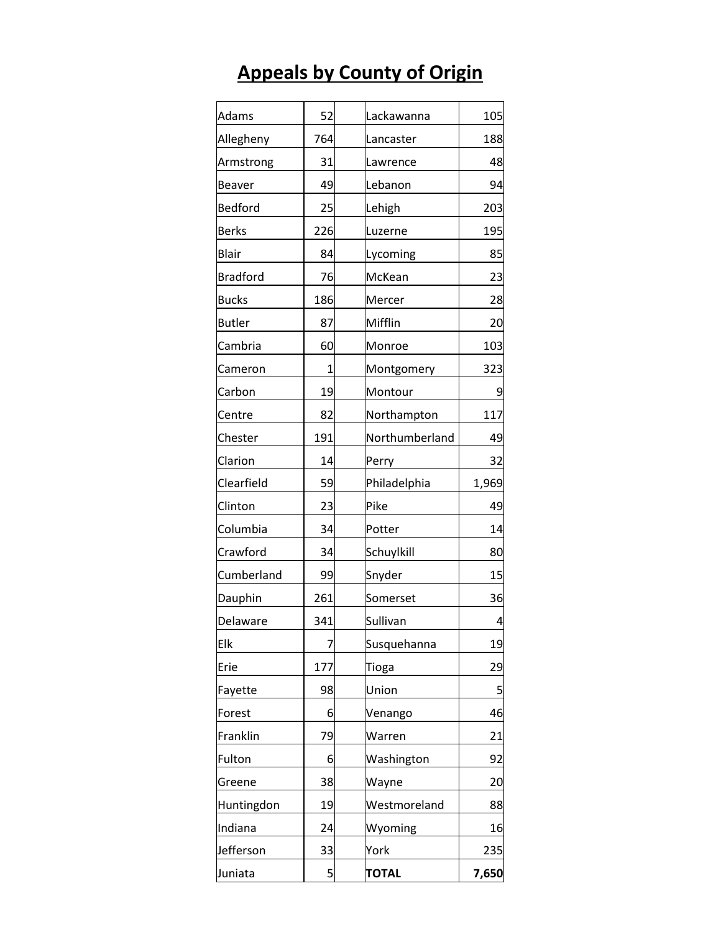# **Appeals by County of Origin**

| Adams           | 52          | Lackawanna     | 105   |
|-----------------|-------------|----------------|-------|
| Allegheny       | 764         | Lancaster      | 188   |
| Armstrong       | 31          | Lawrence       | 48    |
| Beaver          | 49          | Lebanon        | 94    |
| Bedford         | 25          | Lehigh         | 203   |
| <b>Berks</b>    | 226         | Luzerne        | 195   |
| <b>Blair</b>    | 84          | Lycoming       | 85    |
| <b>Bradford</b> | 76          | McKean         | 23    |
| <b>Bucks</b>    | 186         | Mercer         | 28    |
| <b>Butler</b>   | 87          | Mifflin        | 20    |
| Cambria         | 60          | Monroe         | 103   |
| Cameron         | $\mathbf 1$ | Montgomery     | 323   |
| Carbon          | 19          | Montour        | 9     |
| Centre          | 82          | Northampton    | 117   |
| Chester         | 191         | Northumberland | 49    |
| Clarion         | 14          | Perry          | 32    |
| Clearfield      | 59          | Philadelphia   | 1,969 |
| Clinton         | 23          | Pike           | 49    |
| Columbia        | 34          | Potter         | 14    |
| Crawford        | 34          | Schuylkill     | 80    |
| Cumberland      | 99          | Snyder         | 15    |
| Dauphin         | 261         | Somerset       | 36    |
| Delaware        | 341         | Sullivan       | 4     |
| Elk             | 7           | Susquehanna    | 19    |
| Erie            | 177         | Tioga          | 29    |
| Fayette         | 98          | Union          | 5     |
| Forest          | 6           | Venango        | 46    |
| Franklin        | 79          | Warren         | 21    |
| Fulton          | 6           | Washington     | 92    |
| Greene          | 38          | Wayne          | 20    |
| Huntingdon      | 19          | Westmoreland   | 88    |
| Indiana         | 24          | Wyoming        | 16    |
| Jefferson       | 33          | York           | 235   |
| Juniata         | 5           | <b>TOTAL</b>   | 7,650 |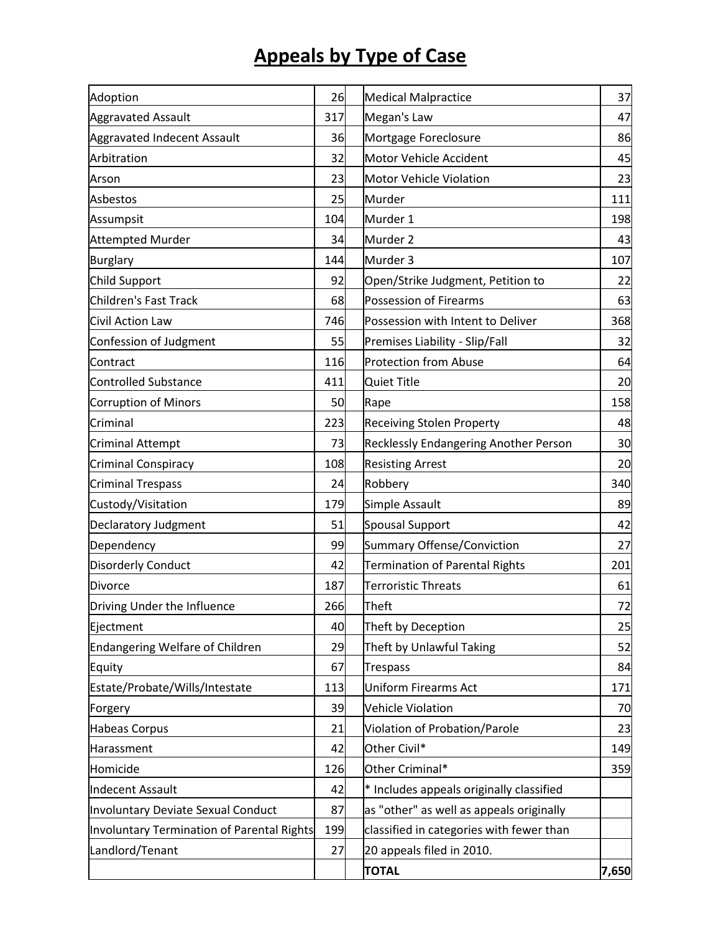## **Appeals by Type of Case**

| Adoption                                   | 26  | <b>Medical Malpractice</b>                   | 37    |
|--------------------------------------------|-----|----------------------------------------------|-------|
| <b>Aggravated Assault</b>                  | 317 | Megan's Law                                  | 47    |
| Aggravated Indecent Assault                | 36  | Mortgage Foreclosure                         | 86    |
| Arbitration                                | 32  | Motor Vehicle Accident                       | 45    |
| Arson                                      | 23  | <b>Motor Vehicle Violation</b>               | 23    |
| Asbestos                                   | 25  | Murder                                       | 111   |
| Assumpsit                                  | 104 | Murder 1                                     | 198   |
| <b>Attempted Murder</b>                    | 34  | Murder 2                                     | 43    |
| Burglary                                   | 144 | Murder 3                                     | 107   |
| Child Support                              | 92  | Open/Strike Judgment, Petition to            | 22    |
| Children's Fast Track                      | 68  | Possession of Firearms                       | 63    |
| Civil Action Law                           | 746 | Possession with Intent to Deliver            | 368   |
| Confession of Judgment                     | 55  | Premises Liability - Slip/Fall               | 32    |
| Contract                                   | 116 | <b>Protection from Abuse</b>                 | 64    |
| <b>Controlled Substance</b>                | 411 | Quiet Title                                  | 20    |
| Corruption of Minors                       | 50  | Rape                                         | 158   |
| Criminal                                   | 223 | <b>Receiving Stolen Property</b>             | 48    |
| <b>Criminal Attempt</b>                    | 73  | <b>Recklessly Endangering Another Person</b> | 30    |
| Criminal Conspiracy                        | 108 | <b>Resisting Arrest</b>                      | 20    |
| <b>Criminal Trespass</b>                   | 24  | Robbery                                      |       |
| Custody/Visitation                         | 179 | Simple Assault                               |       |
| Declaratory Judgment                       | 51  | Spousal Support                              | 42    |
| Dependency                                 | 99  | Summary Offense/Conviction                   | 27    |
| <b>Disorderly Conduct</b>                  | 42  | Termination of Parental Rights               | 201   |
| Divorce                                    | 187 | Terroristic Threats                          | 61    |
| Driving Under the Influence                | 266 | <b>Theft</b>                                 | 72    |
| Ejectment                                  | 40  | Theft by Deception                           | 25    |
| Endangering Welfare of Children            | 29  | Theft by Unlawful Taking                     | 52    |
| Equity                                     | 67  | Trespass                                     | 84    |
| Estate/Probate/Wills/Intestate             | 113 | <b>Uniform Firearms Act</b>                  | 171   |
| Forgery                                    | 39  | Vehicle Violation                            | 70    |
| <b>Habeas Corpus</b>                       | 21  | Violation of Probation/Parole                | 23    |
| Harassment                                 | 42  | Other Civil*                                 | 149   |
| Homicide                                   | 126 | Other Criminal*                              | 359   |
| Indecent Assault                           | 42  | * Includes appeals originally classified     |       |
| Involuntary Deviate Sexual Conduct         | 87  | as "other" as well as appeals originally     |       |
| Involuntary Termination of Parental Rights | 199 | classified in categories with fewer than     |       |
| Landlord/Tenant                            | 27  | 20 appeals filed in 2010.                    |       |
|                                            |     | <b>TOTAL</b>                                 | 7,650 |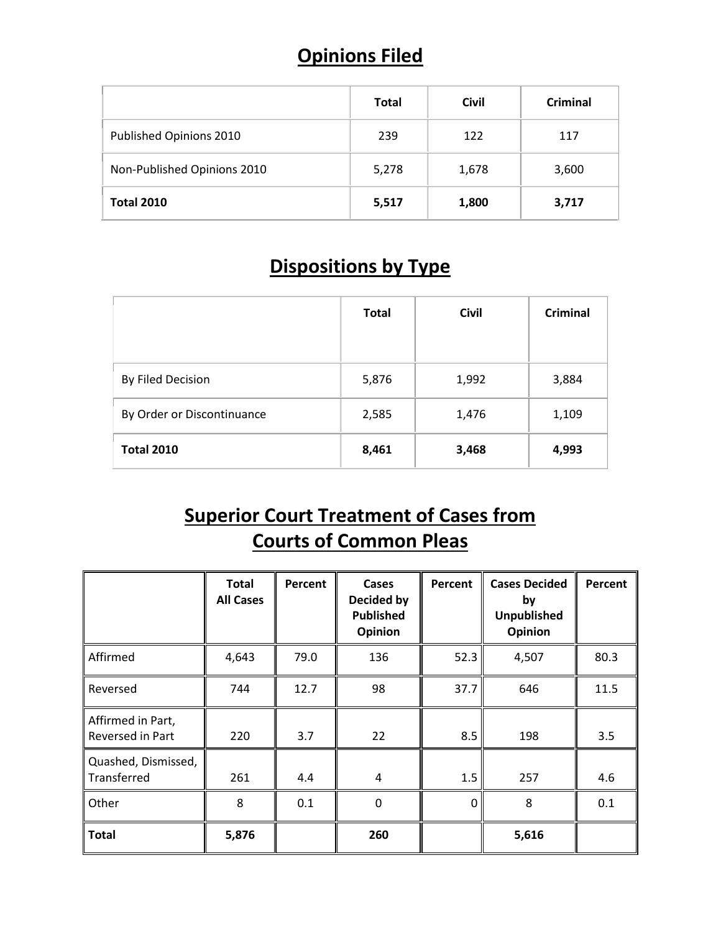### **Opinions Filed**

|                             | <b>Total</b> | <b>Civil</b> | Criminal |
|-----------------------------|--------------|--------------|----------|
| Published Opinions 2010     | 239          | 122          | 117      |
| Non-Published Opinions 2010 | 5,278        | 1,678        | 3,600    |
| <b>Total 2010</b>           | 5,517        | 1,800        | 3,717    |

### **Dispositions by Type**

|                            | <b>Total</b> | <b>Civil</b> | <b>Criminal</b> |
|----------------------------|--------------|--------------|-----------------|
| By Filed Decision          | 5,876        | 1,992        | 3,884           |
| By Order or Discontinuance | 2,585        | 1,476        | 1,109           |
| <b>Total 2010</b>          | 8,461        | 3,468        | 4,993           |

### **Superior Court Treatment of Cases from Courts of Common Pleas**

|                                       | <b>Total</b><br><b>All Cases</b> | Percent | Cases<br>Decided by<br><b>Published</b><br>Opinion | Percent     | <b>Cases Decided</b><br>by<br>Unpublished<br>Opinion | Percent |
|---------------------------------------|----------------------------------|---------|----------------------------------------------------|-------------|------------------------------------------------------|---------|
| Affirmed                              | 4,643                            | 79.0    | 136                                                | 52.3        | 4,507                                                | 80.3    |
| Reversed                              | 744                              | 12.7    | 98                                                 | 37.7        | 646                                                  | 11.5    |
| Affirmed in Part,<br>Reversed in Part | 220                              | 3.7     | 22                                                 | 8.5         | 198                                                  | 3.5     |
| Quashed, Dismissed,<br>Transferred    | 261                              | 4.4     | 4                                                  | 1.5         | 257                                                  | 4.6     |
| Other                                 | 8                                | 0.1     | 0                                                  | $\mathbf 0$ | 8                                                    | 0.1     |
| <b>Total</b>                          | 5,876                            |         | 260                                                |             | 5,616                                                |         |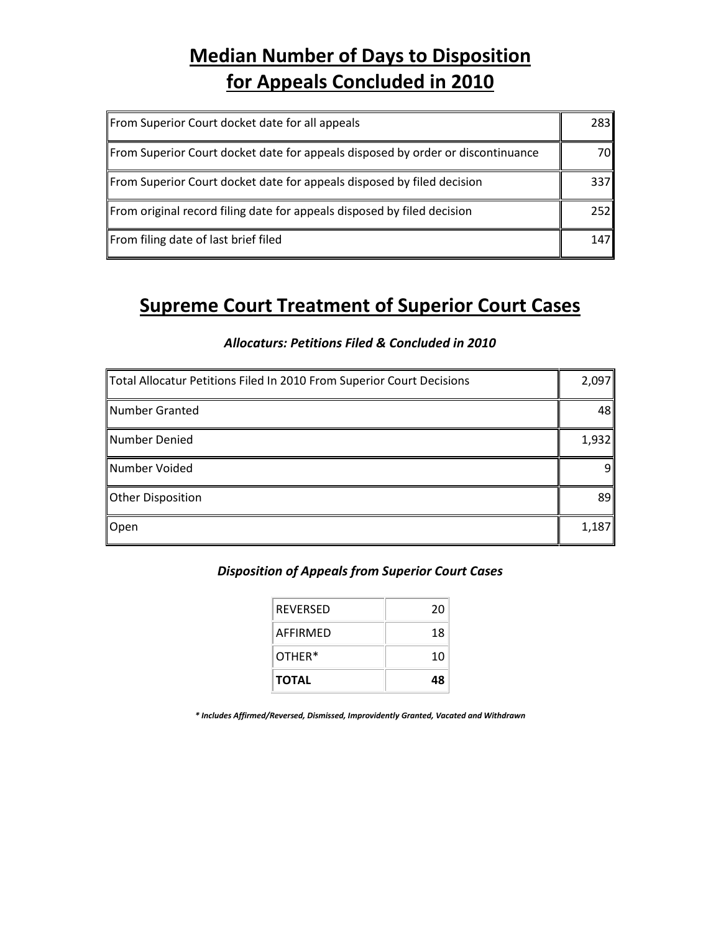### **Median Number of Days to Disposition for Appeals Concluded in 2010**

| From Superior Court docket date for all appeals                                 | 2831 |
|---------------------------------------------------------------------------------|------|
| From Superior Court docket date for appeals disposed by order or discontinuance | 70∥  |
| From Superior Court docket date for appeals disposed by filed decision          | 337  |
| From original record filing date for appeals disposed by filed decision         | 252  |
| From filing date of last brief filed                                            | 147  |

#### **Supreme Court Treatment of Superior Court Cases**

#### *Allocaturs: Petitions Filed & Concluded in 2010*

| Total Allocatur Petitions Filed In 2010 From Superior Court Decisions |       |
|-----------------------------------------------------------------------|-------|
| Number Granted                                                        | 48∥   |
| Number Denied                                                         | 1,932 |
| Number Voided                                                         | 9.    |
| Other Disposition                                                     | 89    |
| Open                                                                  | 1,187 |

#### *Disposition of Appeals from Superior Court Cases*

| <b>REVERSED</b> | 20 |
|-----------------|----|
| AFFIRMFD        | 18 |
| OTHER*          | 10 |
| <b>TOTAL</b>    | 48 |

*\* Includes Affirmed/Reversed, Dismissed, Improvidently Granted, Vacated and Withdrawn*